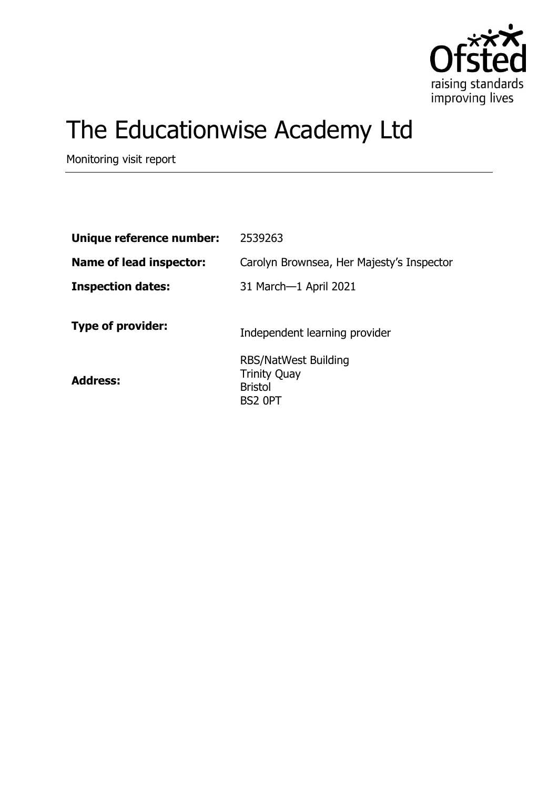

# The Educationwise Academy Ltd

Monitoring visit report

| Unique reference number: | 2539263                                                                         |
|--------------------------|---------------------------------------------------------------------------------|
| Name of lead inspector:  | Carolyn Brownsea, Her Majesty's Inspector                                       |
| <b>Inspection dates:</b> | 31 March-1 April 2021                                                           |
| <b>Type of provider:</b> | Independent learning provider                                                   |
| <b>Address:</b>          | <b>RBS/NatWest Building</b><br><b>Trinity Quay</b><br><b>Bristol</b><br>BS2 OPT |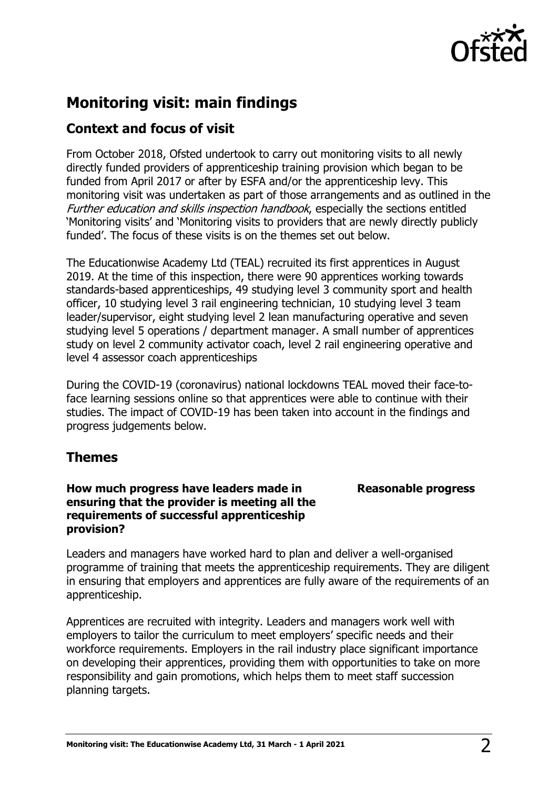

# **Monitoring visit: main findings**

## **Context and focus of visit**

From October 2018, Ofsted undertook to carry out monitoring visits to all newly directly funded providers of apprenticeship training provision which began to be funded from April 2017 or after by ESFA and/or the apprenticeship levy. This monitoring visit was undertaken as part of those arrangements and as outlined in the Further education and skills inspection handbook, especially the sections entitled 'Monitoring visits' and 'Monitoring visits to providers that are newly directly publicly funded'. The focus of these visits is on the themes set out below.

The Educationwise Academy Ltd (TEAL) recruited its first apprentices in August 2019. At the time of this inspection, there were 90 apprentices working towards standards-based apprenticeships, 49 studying level 3 community sport and health officer, 10 studying level 3 rail engineering technician, 10 studying level 3 team leader/supervisor, eight studying level 2 lean manufacturing operative and seven studying level 5 operations / department manager. A small number of apprentices study on level 2 community activator coach, level 2 rail engineering operative and level 4 assessor coach apprenticeships

During the COVID-19 (coronavirus) national lockdowns TEAL moved their face-toface learning sessions online so that apprentices were able to continue with their studies. The impact of COVID-19 has been taken into account in the findings and progress judgements below.

## **Themes**

## **How much progress have leaders made in ensuring that the provider is meeting all the requirements of successful apprenticeship provision?**

## **Reasonable progress**

Leaders and managers have worked hard to plan and deliver a well-organised programme of training that meets the apprenticeship requirements. They are diligent in ensuring that employers and apprentices are fully aware of the requirements of an apprenticeship.

Apprentices are recruited with integrity. Leaders and managers work well with employers to tailor the curriculum to meet employers' specific needs and their workforce requirements. Employers in the rail industry place significant importance on developing their apprentices, providing them with opportunities to take on more responsibility and gain promotions, which helps them to meet staff succession planning targets.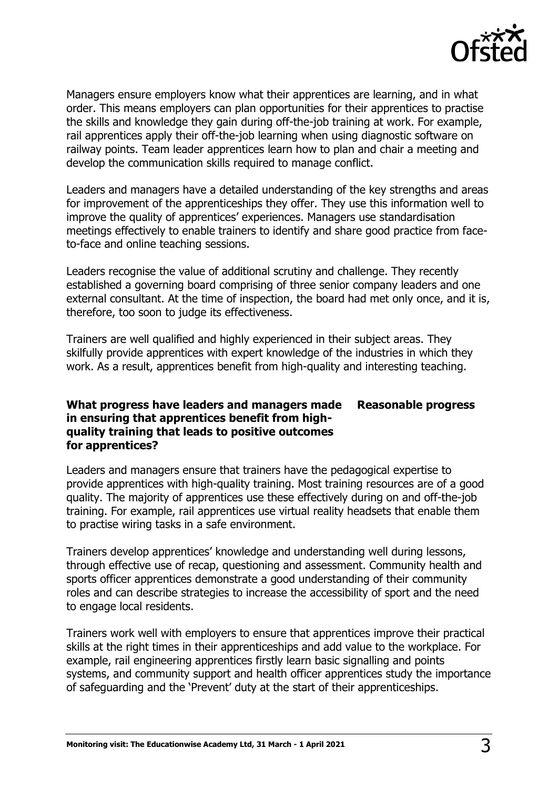

Managers ensure employers know what their apprentices are learning, and in what order. This means employers can plan opportunities for their apprentices to practise the skills and knowledge they gain during off-the-job training at work. For example, rail apprentices apply their off-the-job learning when using diagnostic software on railway points. Team leader apprentices learn how to plan and chair a meeting and develop the communication skills required to manage conflict.

Leaders and managers have a detailed understanding of the key strengths and areas for improvement of the apprenticeships they offer. They use this information well to improve the quality of apprentices' experiences. Managers use standardisation meetings effectively to enable trainers to identify and share good practice from faceto-face and online teaching sessions.

Leaders recognise the value of additional scrutiny and challenge. They recently established a governing board comprising of three senior company leaders and one external consultant. At the time of inspection, the board had met only once, and it is, therefore, too soon to judge its effectiveness.

Trainers are well qualified and highly experienced in their subject areas. They skilfully provide apprentices with expert knowledge of the industries in which they work. As a result, apprentices benefit from high-quality and interesting teaching.

#### **What progress have leaders and managers made in ensuring that apprentices benefit from highquality training that leads to positive outcomes for apprentices? Reasonable progress**

Leaders and managers ensure that trainers have the pedagogical expertise to provide apprentices with high-quality training. Most training resources are of a good quality. The majority of apprentices use these effectively during on and off-the-job training. For example, rail apprentices use virtual reality headsets that enable them to practise wiring tasks in a safe environment.

Trainers develop apprentices' knowledge and understanding well during lessons, through effective use of recap, questioning and assessment. Community health and sports officer apprentices demonstrate a good understanding of their community roles and can describe strategies to increase the accessibility of sport and the need to engage local residents.

Trainers work well with employers to ensure that apprentices improve their practical skills at the right times in their apprenticeships and add value to the workplace. For example, rail engineering apprentices firstly learn basic signalling and points systems, and community support and health officer apprentices study the importance of safeguarding and the 'Prevent' duty at the start of their apprenticeships.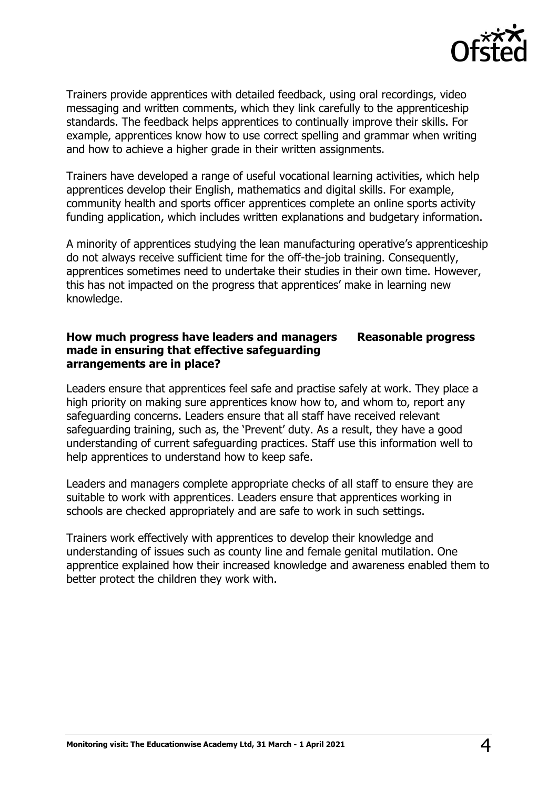

Trainers provide apprentices with detailed feedback, using oral recordings, video messaging and written comments, which they link carefully to the apprenticeship standards. The feedback helps apprentices to continually improve their skills. For example, apprentices know how to use correct spelling and grammar when writing and how to achieve a higher grade in their written assignments.

Trainers have developed a range of useful vocational learning activities, which help apprentices develop their English, mathematics and digital skills. For example, community health and sports officer apprentices complete an online sports activity funding application, which includes written explanations and budgetary information.

A minority of apprentices studying the lean manufacturing operative's apprenticeship do not always receive sufficient time for the off-the-job training. Consequently, apprentices sometimes need to undertake their studies in their own time. However, this has not impacted on the progress that apprentices' make in learning new knowledge.

#### **How much progress have leaders and managers made in ensuring that effective safeguarding arrangements are in place? Reasonable progress**

Leaders ensure that apprentices feel safe and practise safely at work. They place a high priority on making sure apprentices know how to, and whom to, report any safeguarding concerns. Leaders ensure that all staff have received relevant safeguarding training, such as, the 'Prevent' duty. As a result, they have a good understanding of current safeguarding practices. Staff use this information well to help apprentices to understand how to keep safe.

Leaders and managers complete appropriate checks of all staff to ensure they are suitable to work with apprentices. Leaders ensure that apprentices working in schools are checked appropriately and are safe to work in such settings.

Trainers work effectively with apprentices to develop their knowledge and understanding of issues such as county line and female genital mutilation. One apprentice explained how their increased knowledge and awareness enabled them to better protect the children they work with.